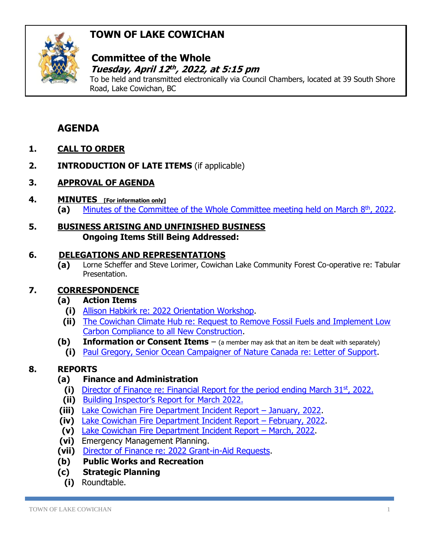# **TOWN OF LAKE COWICHAN**



### **Committee of the Whole**  *Tuesday, April 12<sup>th</sup>, 2022, at 5:15 pm*

To be held and transmitted electronically via Council Chambers, located at 39 South Shore Road, Lake Cowichan, BC

## **AGENDA**

- **1. CALL TO ORDER**
- **2. INTRODUCTION OF LATE ITEMS** (if applicable)
- **3. APPROVAL OF AGENDA**
- **4. MINUTES [For information only]** (a) [Minutes of the Committee of the Whole Committee meeting held on March](http://www.lakecowichan.ca/dl/22-03-08CW.pdf) 8<sup>th</sup>, 2022.
- **5. BUSINESS ARISING AND UNFINISHED BUSINESS Ongoing Items Still Being Addressed:**

### **6. DELEGATIONS AND REPRESENTATIONS**

**(a)** Lorne Scheffer and Steve Lorimer, Cowichan Lake Community Forest Co-operative re: Tabular Presentation.

### **7. CORRESPONDENCE**

### **(a) Action Items**

- **(i)** [Allison Habkirk re: 2022 Orientation Workshop.](http://www.lakecowichan.ca/dl/Habkirk%20Lake%20Cowichan%20Council%20Orientation%20Proposal.pdf)
- **(ii)** [The Cowichan Climate Hub re: Request to Remove Fossil Fuels and Implement Low](http://www.lakecowichan.ca/dl/climatehub.pdf)  [Carbon Compliance to all New Construction.](http://www.lakecowichan.ca/dl/climatehub.pdf)
- **(b) Information or Consent Items** (a member may ask that an item be dealt with separately)
	- **(i)** [Paul Gregory, Senior Ocean Campaigner of Nature Canada re: Letter of Support.](http://www.lakecowichan.ca/dl/naturecanada-rfs.pdf)

### **8. REPORTS**

### **(a) Finance and Administration**

- (i) [Director of Finance re: Financial Report for the period ending March 31](http://www.lakecowichan.ca/dl/finmar22.pdf)<sup>st</sup>, 2022.
- **(ii)** [Building Inspector's Report for](http://www.lakecowichan.ca/dl/BIMAR22.pdf) March 2022.
- **(iii)** [Lake Cowichan Fire Department Incident Report](http://www.lakecowichan.ca/dl/fdjan22.pdf)  January, 2022.
- **(iv)** [Lake Cowichan Fire Department Incident Report](http://www.lakecowichan.ca/dl/fdfeb22.pdf)  February, 2022.
- **(v)** [Lake Cowichan Fire Department Incident Report](http://www.lakecowichan.ca/dl/fdmar22.pdf)  March, 2022.
- **(vi)** Emergency Management Planning.
- **(vii)** [Director of Finance re: 2022 Grant-in-Aid Requests.](http://www.lakecowichan.ca/dl/gia22.pdf)
- **(b) Public Works and Recreation**
- **(c) Strategic Planning**
	- **(i)** [Roundtable.](http://www.lakecowichan.ca/dl/)